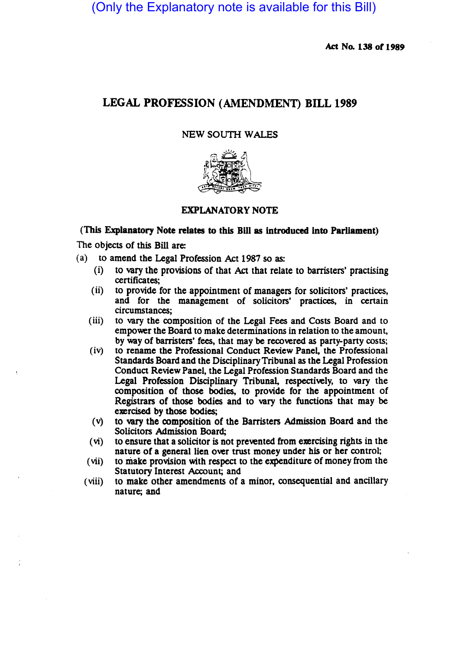(Only the Explanatory note is available for this Bill)

Act No. 138 of 1989

# LEGAL PROFESSION (AMENDMENT) BILL 1989

### NEW SOUTH WALES



# EXPLANATORY NOTE

#### (This Explanatory Note relates to this Bill as introduced into Parliament)

The Objects of this Bill are:

- (a) to amend the Legal Profession Act 1987 so as:
	- (i) to vary the provisions of that Act that relate to barristers' practising certificates;
	- (ii) to provide for the appointment of managers for solicitors' practices, and for the management of solicitors' practices, in certain circumstances;
	- (iii) to vary the composition of the Legal Fees and Costs Board and to empower the Board to make determinations in relation to the amount, by way of barristers' fees, that may be recovered as party-party costs;
	- (iv) to rename the Professional Conduct Review Panel, the Professional Standards Board and the Disciplinary Tribunal as the Legal Profession Conduct Review Panel, the Legal Profession Standards Board and the Legal Profession Disciplinary Tribunal, respectively, to vary the composition of those bodies, to provide for the appointment of Registrars of those bodies and to vary the functions that may be exercised by those bodies;
	- (v) to vary the composition of the Barristers Admission Board and the Solicitors Admission Board;
	- $(vi)$  to ensure that a solicitor is not prevented from exercising rights in the nature of a general lien over trust money under his or her control;
	- (vii) to make provision with respect to the expenditure of money from the Statutory Interest Account; and
	- (viii) to make other amendments of a minor, consequential and ancillary nature; and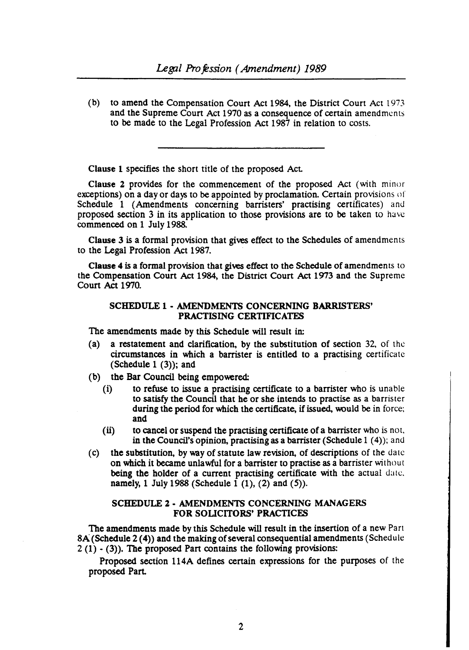(b) to amend the Compensation Court Act 1984. the District Court Act 1973 and the Supreme Court Act 1970 as a consequence of certain amendments to be made to the Legal Profession Act 1987 in relation to costs.

Clause 1 specifies the short title of the proposed Act.

Clause 2 provides for the commencement of the proposed Act (with minor exceptions) on a day or days to be appointed by proclamation. Certain provisions of Schedule 1 (Amendments concerning barristers' practising certificates) and proposed section 3 in its application to those provisions are to be taken to have commenced on 1 July 1988.

Clause 3 is a formal provision that gives effect to the Schedules of amendments to the Legal Profession Act 1987.

Clause 4 is a formal provision that gives effect to the Schedule of amendments to the Compensation Court Act 1984. the District Court Act 1973 and the Supreme Court Act 1970.

#### SCHEDULE 1 - AMENDMENTS CONCERNING BARRISTERS' PRACTISING CERTIFICATES

The amendments made by this Schedule will result in:

- (a) a restatement and clarification, by the substitution of section  $32$ , of the circumstances in which a barrister is entitled to a practising certificate (Schedule  $1$  (3)); and
- (b) the Bar Council being empowered:
	- (i) to refuse to issue a practising certificate to a barrister who is unable to satisfy the Council that be or sbe intends to practise as a barrister during the period for which the certificate, if issued, would be in force; and
	- (ii) to cancel or suspend the practising certificate of a barrister who is not, in the Council's opinion, practising as a barrister (Schedule  $1(4)$ ); and
- (c) the substitution. by way of statute law revision, of descriptions of the date on which it became unlawful for a barrister to practise as a barrister without being the holder of a current practising certificate with the actual date. namely, 1 July 1988 (Schedule  $1(1)$ ,  $(2)$  and  $(5)$ ).

#### SCHEDULE 2 - AMENDMENTS CONCERNING MANAGERS FOR SOUCITORS' PRACTICES

The amendments made by this Schedule will result in the insertion of a new Part 8A (Schedule 2 (4)) and the making of several consequential amendments (Schedule  $2(1)$  - (3)). The proposed Part contains the following provisions:

Proposed section 114A defines certain expressions for the purposes of the proposed Part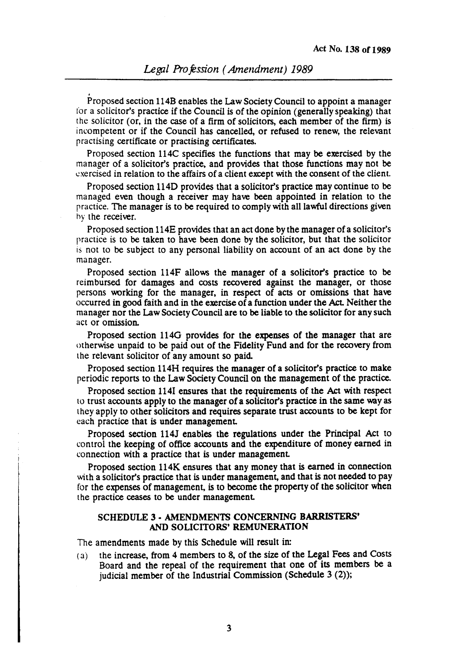.<br>Proposed section 114B enables the Law Society Council to appoint a manager for a solicitor's practice if the Council is of the opinion (generally speaking) that the solicitor (or, in the case of a firm of solicitors, each member of the firm) is incompetent or if the Council has cancelled, or refused to renew, the relevant practising certificate or practising certificates.

Proposed section 114C specifies the functions that may be exercised by the manager of a solicitor's practice, and provides that those functions may not be exercised in relation to the affairs of a client except with the consent of the client.

Proposed section 114D provides that a solicitor's practice may continue to be managed even though a receiver may have been appointed in relation to the practice. The manager is to be required to comply with all lawful directions given by the receiver.

Proposed section 114E provides that an act done by the manager of a solicitor's practice is to be taken to have been done by the solicitor, but that the solicitor is not to be subject to any personal liability on account of an act done by the manager.

Proposed section 114F allows the manager of a solicitor's practice to be reimbursed for damages and costs recovered against the manager, or those persons working for the manager, in respect of acts or omissions that have occurred in good faith and in the exercise of a function under the Act. Neither the manager nor the Law Society Council are to be liable to the solicitor for any such act or omission.

Proposed section 1140 provides for the expenses of the manager that are otherwise unpaid to be paid out of the Fidelity Fund and for the recovery from the relevant solicitor of any amount so paid.

Proposed section 114H requires the manager of a solicitor's practice to make periodic reports to the Law Society Council on the management of the practice.

Proposed section 1141 ensures that the requirements of the Act with respect to trust accounts apply to the manager of a solicitor's practice in the same way as they apply to other solicitors and requires separate trust accounts to be kept for each practice that is under management.

Proposed section 114J enables the regulations under the Principal Act to control the keeping of office accounts and the expenditure of money earned in connection with a practice that is under management

Proposed section 114K ensures that any money that is earned in connection with a solicitor's practice that is under management, and that is not needed to pay for the expenses of management, is to become the property of the solicitor when the practice ceases to be under management

### SCHEDULE 3 • AMENDMENTS CONCERNING BARRISTERS' AND SOLICITORS' REMUNERATION

The amendments made by this Schedule will result in:

(3) the increase, from 4 members to 8, of the size of the Legal Fees and Costs Board and the repeal of the requirement that one of its members be a judicial member of the Industrial Commission (Schedule 3 (2));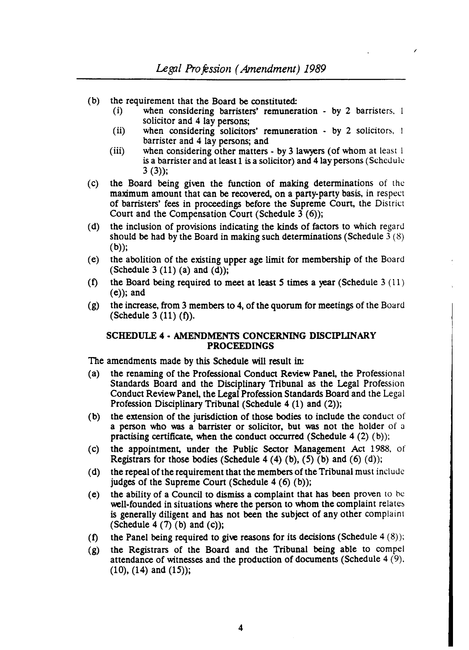- (b) the requirement that the Board be constituted:
	- (i) when considering barristers' remuneration by 2 barristers, solicitor and 4 lay persons;

/

- (ii) when considering solicitors' remuneration  $\cdot$  by 2 solicitors, 1 barrister and 4 lay persons; and
- (iii) when considering other matters  $-$  by 3 lawyers (of whom at least 1) is a barrister and at least 1 is a solicitor) and 4 lay persons (Schedule  $3(3)$ ;
- (c) the Board being given the function of making determinations of the maximum amount that can be recovered, on a party-party basis, in respect of barristers' fees in proceedings before the Supreme Court, the District Court and the Compensation Court (Schedule  $3(6)$ );
- (d) the inclusion of provisions indicating the kinds of factors to which regard should be had by the Board in making such determinations (Schedule  $3(8)$ )  $(b)$ ;
- (e) the abolition of the existing upper age limit for membership of the Board (Schedule 3  $(11)$  (a) and  $(d)$ );
- (f) the Board being required to meet at least 5 times a year (Schedule  $3(11)$ )  $(e)$ ; and
- (g) the increase, from 3 members to 4, of the quorum for meetings of the Board (Schedule 3 $(11)$  $(f)$ ).

# SCHEDULE 4 • AMENDMENTS CONCERNING DISCIPLINARY PROCEEDINGS

The amendments made by this Schedule will result in:

- (a) the renaming of the Professional Conduct Review Panel, the Professional Standards Board and the Disciplinary Tribunal as the Legal Profession Conduct Review Panel, the Legal Profession Standards Board and the Legal Profession Disciplinary Tribunal (Schedule 4 (1) and (2));
- (b) the extension of the jurisdiction of those bodies to include the conduct of a person who was a barrister or solicitor, but was not the holder of a practising certificate, when the conduct occurred (Schedule  $4(2)(b)$ );
- (c) the appointment, under the Public Sector Management Act 1988. of Registrars for those bodies (Schedule 4 (4) (b), (5) (b) and (6) (d));
- (d) the repeal of the requirement that the members of the Tribunal must include judges of the Supreme Court (Schedule  $4(6)(b)$ );
- (e) the ability of a Council to dismiss a complaint that has been proven to be well-founded in situations where the person to whom the complaint relates is generally diligent and has not been the subject of any other complaint (Schedule 4  $(7)$  (b) and (c));
- (f) the Panel being required to give reasons for its decisions (Schedule  $4 (8)$ );
- (g) the Registrars of the Board and the Tribunal being able to compel attendance of witnesses and the production of documents (Schedule 4 (9),  $(10)$ ,  $(14)$  and  $(15)$ ;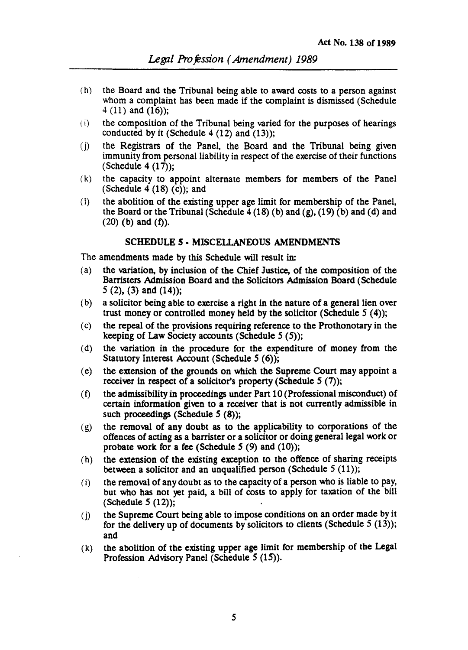- ( h) the Board and the Tribunal being able to award costs to a person against whom a complaint has been made if the complaint is dismissed (Schedule  $4(11)$  and  $(16)$ ;
- (i) the composition of the Tribunal being varied for the purposes of hearings conducted by it (Schedule  $4(12)$  and  $(13)$ );
- (j) the Registrars of the Panel, the Board and the Tribunal being given immunity from personal liability in respect of the exercise of their functions  $(Schedule 4 (17));$
- (k) the capacity to appoint alternate members for members of the Panel (Schedule 4  $(18)$  (c)); and
- (1) the abolition of the existing upper age limit for membership of the Panel, the Board or the Tribunal (Schedule  $4(18)(b)$  and  $(g)$ ,  $(19)(b)$  and  $(d)$  and  $(20)$  (b) and  $(f)$ ).

## SCHEDULE 5 • MISCELLANEOUS AMENDMENTS

The amendments made by this Schedule will result in:

- (a) the variation, by inclusion of the Chief Justice, of the composition of the Barristers Admission Board and the Solicitors Admission Board (Schedule 5 (2), (3) and (14));
- (b) a solicitor being able to exercise a right in the nature of a general lien over trust money or controlled money held by the solicitor (Schedule  $5(4)$ );
- (c) the repeal of the prOvisions requiring reference to the Prothonotary in the keeping of Law Society accounts (Schedule  $5(5)$ );
- (d) the variation in the procedure for the expenditure of money from the Statutory Interest Account (Schedule 5 (6));
- (e) the extension of the grounds on which the Supreme Court may appoint a receiver in respect of a solicitor's property (Schedule  $5(7)$ );
- $(f)$  the admissibility in proceedings under Part 10 (Professional misconduct) of certain information given to a receiver that is not currently admissible in such proceedings (Schedule  $5(8)$ );
- (g) the removal of any doubt as to the applicability to corporations of the offences of acting as a barrister or a solicitor or doing general legal work or probate work for a fee (Schedule  $5$  (9) and (10));
- (h) the extension of the existing exception to the offence of sharing receipts between a solicitor and an unqualified person (Schedule  $5(11)$ );
- (i) the removal of any doubt as to the capacity of a person who is liable to pay, but who has not yet paid, a bill of costs to apply for taxation of the bill  $(Schedule 5 (12))$ ;
- (i) the Supreme Court being able to impose conditions on an order made by it for the delivery up of documents by solicitors to clients (Schedule  $5(13)$ ); and
- (k) the abolition of the existing upper age limit for membership of the Legal Profession Advisory Panel (Schedule 5 (15)).